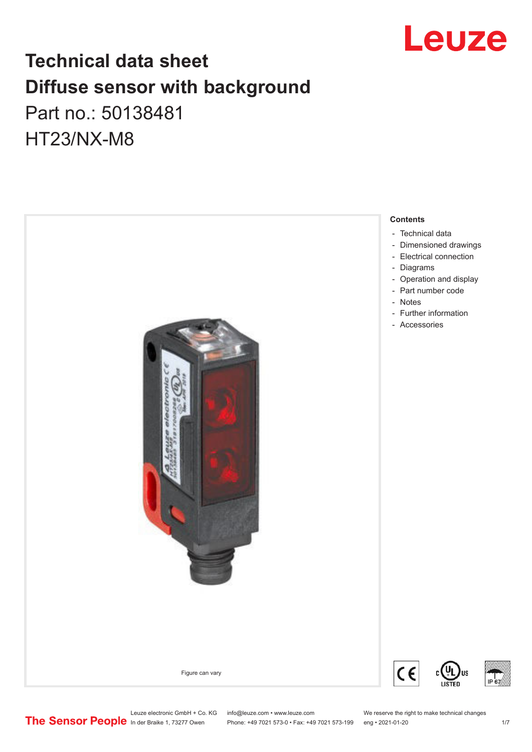

# **Technical data sheet Diffuse sensor with background**  Part no.: 50138481

HT23/NX-M8



Leuze electronic GmbH + Co. KG info@leuze.com • www.leuze.com We reserve the right to make technical changes<br>
The Sensor People in der Braike 1, 73277 Owen Phone: +49 7021 573-0 • Fax: +49 7021 573-199 eng • 2021-01-20

Phone: +49 7021 573-0 • Fax: +49 7021 573-199 eng • 2021-01-20 1 2021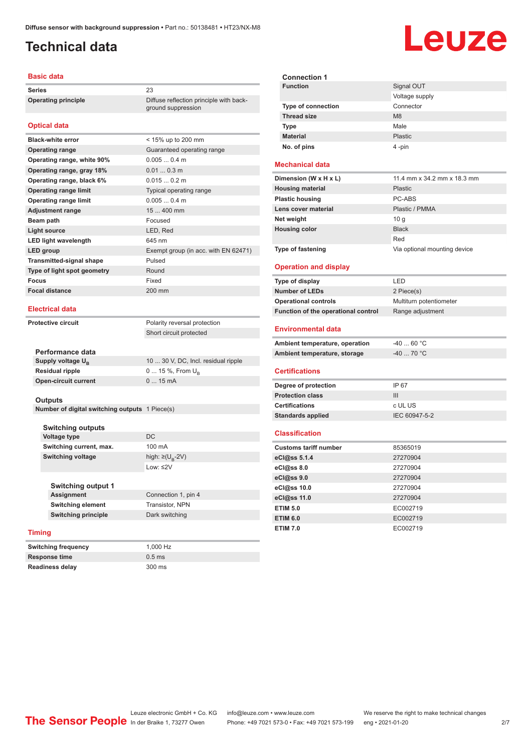ground suppression

# <span id="page-1-0"></span>**Technical data**

#### **Basic data**

**Series** 23 **Operating principle** Diffuse reflection principle with back-

#### **Optical data**

| <b>Black-white error</b>        | < 15% up to 200 mm                   |
|---------------------------------|--------------------------------------|
| <b>Operating range</b>          | Guaranteed operating range           |
| Operating range, white 90%      | 0.0050.4 m                           |
| Operating range, gray 18%       | $0.010.3$ m                          |
| Operating range, black 6%       | 0.0150.2 m                           |
| <b>Operating range limit</b>    | Typical operating range              |
| <b>Operating range limit</b>    | $0.0050.4$ m                         |
| <b>Adjustment range</b>         | 15  400 mm                           |
| Beam path                       | Focused                              |
| Light source                    | LED, Red                             |
| <b>LED light wavelength</b>     | 645 nm                               |
| LED group                       | Exempt group (in acc. with EN 62471) |
| <b>Transmitted-signal shape</b> | Pulsed                               |
| Type of light spot geometry     | Round                                |
| Focus                           | Fixed                                |
| <b>Focal distance</b>           | 200 mm                               |
|                                 |                                      |

#### **Electrical data**

**Protective circuit** Polarity reversal protection

Short circuit protected

| Performance data              |                                     |
|-------------------------------|-------------------------------------|
| Supply voltage U <sub>B</sub> | 10  30 V, DC, Incl. residual ripple |
| <b>Residual ripple</b>        | $0 15 \%$ , From $U_{p}$            |
| <b>Open-circuit current</b>   | $015$ mA                            |
|                               |                                     |

#### **Outputs**

**Number of digital switching outputs** 1 Piece(s)

| <b>Switching outputs</b> |                                   |
|--------------------------|-----------------------------------|
| Voltage type             | DC.                               |
| Switching current, max.  | 100 mA                            |
| <b>Switching voltage</b> | high: $\geq$ (U <sub>B</sub> -2V) |
|                          | Low: $\leq$ 2V                    |
|                          |                                   |

| <b>Switching output 1</b>  |                     |
|----------------------------|---------------------|
| <b>Assignment</b>          | Connection 1, pin 4 |
| <b>Switching element</b>   | Transistor, NPN     |
| <b>Switching principle</b> | Dark switching      |
|                            |                     |

#### **Timing**

**Switching frequency** 1,000 Hz **Response time** 0.5 ms **Readiness delay** 300 ms

| <b>Connection 1</b>       |                |
|---------------------------|----------------|
| <b>Function</b>           | Signal OUT     |
|                           | Voltage supply |
| <b>Type of connection</b> | Connector      |
| <b>Thread size</b>        | M <sub>8</sub> |
| <b>Type</b>               | Male           |
| <b>Material</b>           | Plastic        |
| No. of pins               | 4-pin          |

#### **Mechanical data**

| Dimension (W x H x L)    | 11.4 mm x 34.2 mm x 18.3 mm  |
|--------------------------|------------------------------|
| <b>Housing material</b>  | <b>Plastic</b>               |
| <b>Plastic housing</b>   | PC-ABS                       |
| Lens cover material      | Plastic / PMMA               |
| Net weight               | 10q                          |
| <b>Housing color</b>     | <b>Black</b>                 |
|                          | Red                          |
| <b>Type of fastening</b> | Via optional mounting device |

#### **Operation and display**

| Type of display                     | I FD.                   |
|-------------------------------------|-------------------------|
| <b>Number of LEDs</b>               | 2 Piece(s)              |
| <b>Operational controls</b>         | Multiturn potentiometer |
| Function of the operational control | Range adjustment        |

#### **Environmental data**

| Ambient temperature, operation | -40  60 °C |
|--------------------------------|------------|
| Ambient temperature, storage   | -40  70 °C |

#### **Certifications**

| Degree of protection     | IP 67         |
|--------------------------|---------------|
| <b>Protection class</b>  | Ш             |
| <b>Certifications</b>    | c UL US       |
| <b>Standards applied</b> | IEC 60947-5-2 |

#### **Classification**

| <b>Customs tariff number</b> | 85365019 |
|------------------------------|----------|
| eCl@ss 5.1.4                 | 27270904 |
| eCl@ss 8.0                   | 27270904 |
| eCl@ss 9.0                   | 27270904 |
| eCl@ss 10.0                  | 27270904 |
| eCl@ss 11.0                  | 27270904 |
| <b>ETIM 5.0</b>              | EC002719 |
| <b>ETIM 6.0</b>              | EC002719 |
| <b>ETIM 7.0</b>              | EC002719 |

# Leuze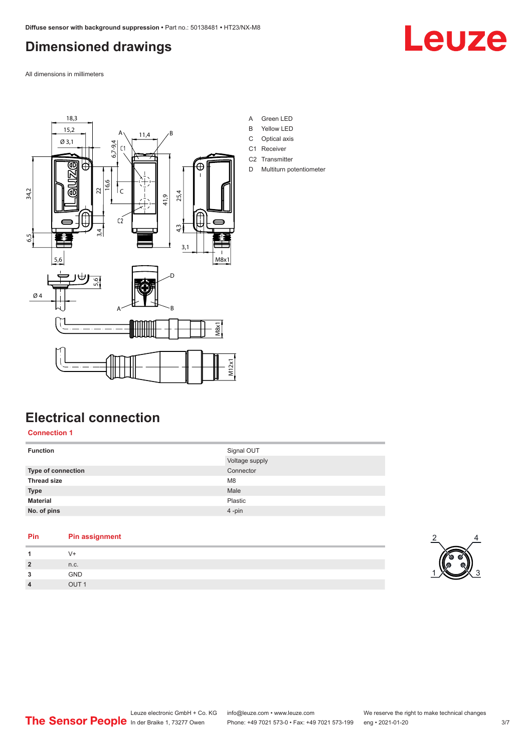# <span id="page-2-0"></span>**Dimensioned drawings**

Leuze

All dimensions in millimeters



# **Electrical connection**

**Connection 1**

| <b>Function</b>    | Signal OUT     |
|--------------------|----------------|
|                    | Voltage supply |
| Type of connection | Connector      |
| <b>Thread size</b> | M <sub>8</sub> |
| <b>Type</b>        | Male           |
| <b>Material</b>    | Plastic        |
| No. of pins        | 4-pin          |
|                    |                |

| Pin            | <b>Pin assignment</b> |
|----------------|-----------------------|
| 1              | V+                    |
| $\overline{2}$ | n.c.                  |
| 3              | <b>GND</b>            |
| $\overline{4}$ | OUT <sub>1</sub>      |

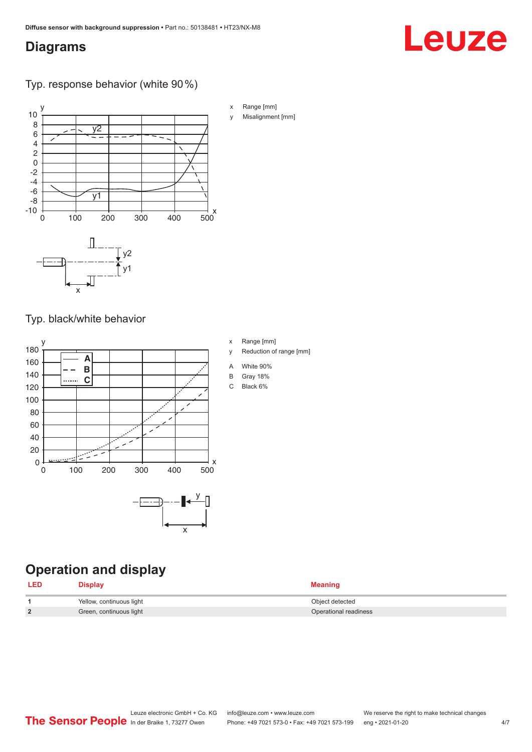## <span id="page-3-0"></span>**Diagrams**

### Typ. response behavior (white 90 %)



Typ. black/white behavior



**Operation and display**

| <b>LED</b> | <b>Display</b>           | Meaning               |
|------------|--------------------------|-----------------------|
|            | Yellow, continuous light | Object detected       |
|            | Green, continuous light  | Operational readiness |

### C Black 6%

x Range [mm]

A White 90% B Gray 18%

y Reduction of range [mm]

#### Leuze electronic GmbH + Co. KG info@leuze.com • www.leuze.com We reserve the right to make technical changes<br> **The Sensor People** in der Braike 1, 73277 Owen Phone: +49 7021 573-1 +49 7021 573-199 eng • 2021-01-20 Phone: +49 7021 573-0 • Fax: +49 7021 573-199 eng • 2021-01-20 4/7

# Leuze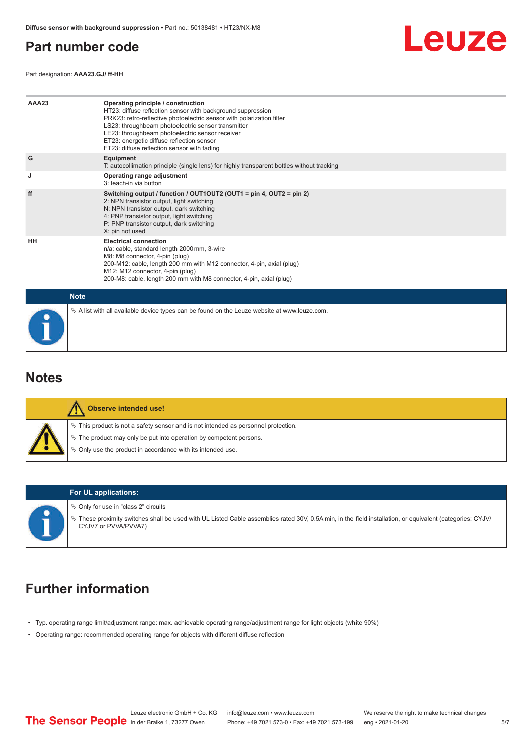## <span id="page-4-0"></span>**Part number code**

Part designation: **AAA23.GJ/ ff-HH**



| AAA23       | Operating principle / construction<br>HT23: diffuse reflection sensor with background suppression<br>PRK23: retro-reflective photoelectric sensor with polarization filter<br>LS23: throughbeam photoelectric sensor transmitter<br>LE23: throughbeam photoelectric sensor receiver<br>ET23: energetic diffuse reflection sensor<br>FT23: diffuse reflection sensor with fading |
|-------------|---------------------------------------------------------------------------------------------------------------------------------------------------------------------------------------------------------------------------------------------------------------------------------------------------------------------------------------------------------------------------------|
| G           | Equipment<br>T: autocollimation principle (single lens) for highly transparent bottles without tracking                                                                                                                                                                                                                                                                         |
| J           | Operating range adjustment<br>3: teach-in via button                                                                                                                                                                                                                                                                                                                            |
| ff          | Switching output / function / OUT1OUT2 (OUT1 = pin 4, OUT2 = pin 2)<br>2: NPN transistor output, light switching<br>N: NPN transistor output, dark switching<br>4: PNP transistor output, light switching<br>P: PNP transistor output, dark switching<br>X: pin not used                                                                                                        |
| HH          | <b>Electrical connection</b><br>n/a: cable, standard length 2000 mm, 3-wire<br>M8: M8 connector, 4-pin (plug)<br>200-M12: cable, length 200 mm with M12 connector, 4-pin, axial (plug)<br>M12: M12 connector, 4-pin (plug)<br>200-M8: cable, length 200 mm with M8 connector, 4-pin, axial (plug)                                                                               |
| <b>Note</b> |                                                                                                                                                                                                                                                                                                                                                                                 |
|             | $\&$ A list with all available device types can be found on the Leuze website at www.leuze.com.                                                                                                                                                                                                                                                                                 |

### **Notes**

| Observe intended use! |                                                                                                                                                                                                                               |  |  |  |
|-----------------------|-------------------------------------------------------------------------------------------------------------------------------------------------------------------------------------------------------------------------------|--|--|--|
|                       | $\%$ This product is not a safety sensor and is not intended as personnel protection.<br>$\&$ The product may only be put into operation by competent persons.<br>♦ Only use the product in accordance with its intended use. |  |  |  |



#### **For UL applications:**

 $\%$  Only for use in "class 2" circuits

ª These proximity switches shall be used with UL Listed Cable assemblies rated 30V, 0.5A min, in the field installation, or equivalent (categories: CYJV/ CYJV7 or PVVA/PVVA7)

# **Further information**

- Typ. operating range limit/adjustment range: max. achievable operating range/adjustment range for light objects (white 90%)
- Operating range: recommended operating range for objects with different diffuse reflection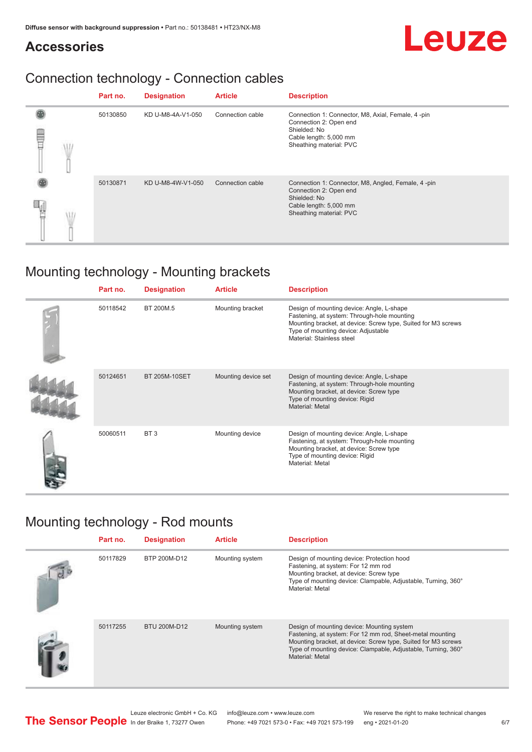# **Accessories**

# Connection technology - Connection cables

|    | Part no. | <b>Designation</b> | <b>Article</b>   | <b>Description</b>                                                                                                                                |
|----|----------|--------------------|------------------|---------------------------------------------------------------------------------------------------------------------------------------------------|
| ΛĦ | 50130850 | KD U-M8-4A-V1-050  | Connection cable | Connection 1: Connector, M8, Axial, Female, 4 -pin<br>Connection 2: Open end<br>Shielded: No<br>Cable length: 5,000 mm<br>Sheathing material: PVC |
|    | 50130871 | KD U-M8-4W-V1-050  | Connection cable | Connection 1: Connector, M8, Angled, Female, 4-pin<br>Connection 2: Open end<br>Shielded: No<br>Cable length: 5,000 mm<br>Sheathing material: PVC |

# Mounting technology - Mounting brackets

| Part no. | <b>Designation</b>   | <b>Article</b>      | <b>Description</b>                                                                                                                                                                                                            |
|----------|----------------------|---------------------|-------------------------------------------------------------------------------------------------------------------------------------------------------------------------------------------------------------------------------|
| 50118542 | BT 200M.5            | Mounting bracket    | Design of mounting device: Angle, L-shape<br>Fastening, at system: Through-hole mounting<br>Mounting bracket, at device: Screw type, Suited for M3 screws<br>Type of mounting device: Adjustable<br>Material: Stainless steel |
| 50124651 | <b>BT 205M-10SET</b> | Mounting device set | Design of mounting device: Angle, L-shape<br>Fastening, at system: Through-hole mounting<br>Mounting bracket, at device: Screw type<br>Type of mounting device: Rigid<br>Material: Metal                                      |
| 50060511 | BT <sub>3</sub>      | Mounting device     | Design of mounting device: Angle, L-shape<br>Fastening, at system: Through-hole mounting<br>Mounting bracket, at device: Screw type<br>Type of mounting device: Rigid<br>Material: Metal                                      |

# Mounting technology - Rod mounts

| Part no. | <b>Designation</b> | <b>Article</b>  | <b>Description</b>                                                                                                                                                                                                                                           |
|----------|--------------------|-----------------|--------------------------------------------------------------------------------------------------------------------------------------------------------------------------------------------------------------------------------------------------------------|
| 50117829 | BTP 200M-D12       | Mounting system | Design of mounting device: Protection hood<br>Fastening, at system: For 12 mm rod<br>Mounting bracket, at device: Screw type<br>Type of mounting device: Clampable, Adjustable, Turning, 360°<br>Material: Metal                                             |
| 50117255 | BTU 200M-D12       | Mounting system | Design of mounting device: Mounting system<br>Fastening, at system: For 12 mm rod, Sheet-metal mounting<br>Mounting bracket, at device: Screw type, Suited for M3 screws<br>Type of mounting device: Clampable, Adjustable, Turning, 360°<br>Material: Metal |



Leuze